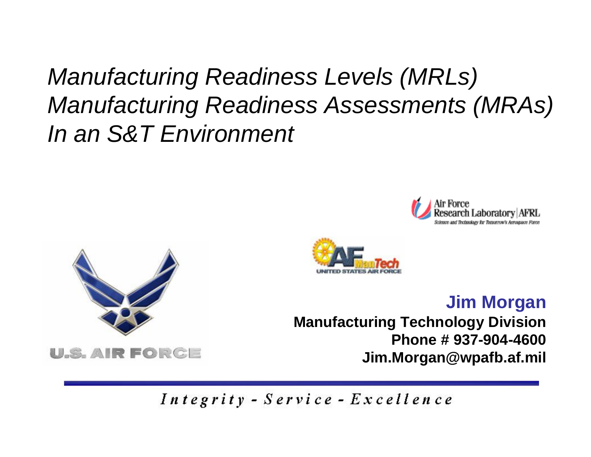# *Manufacturing Readiness Levels (MRLs) Manufacturing Readiness Assessments (MRAs) In an S&T Environment*



**U.S. AIR FORCE** 



#### **Jim Morgan**

**Manufacturing Technology Division Phone # 937-904-4600Jim.Morgan@wpafb.af.mil**

Integrity - Service - Excellence

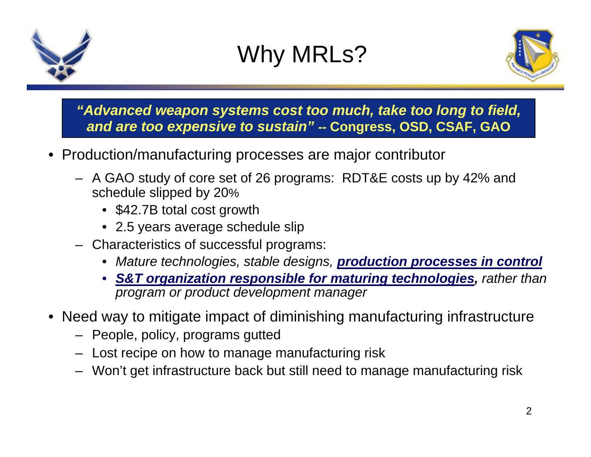



#### *"Advanced weapon systems cost too much, take too long to field, and are too expensive to sustain" --* **Congress, OSD, CSAF, GAO**

- Production/manufacturing processes are major contributor
	- A GAO study of core set of 26 programs: RDT&E costs up by 42% and schedule slipped by 20%
		- \$42.7B total cost growth
		- 2.5 years average schedule slip
	- Characteristics of successful programs:
		- *Mature technologies, stable designs, production processes in control*
		- *S&T organization responsible for maturing technologies, rather than program or product development manager*
- Need way to mitigate impact of diminishing manufacturing infrastructure
	- People, policy, programs gutted
	- Lost recipe on how to manage manufacturing risk
	- Won't get infrastructure back but still need to manage manufacturing risk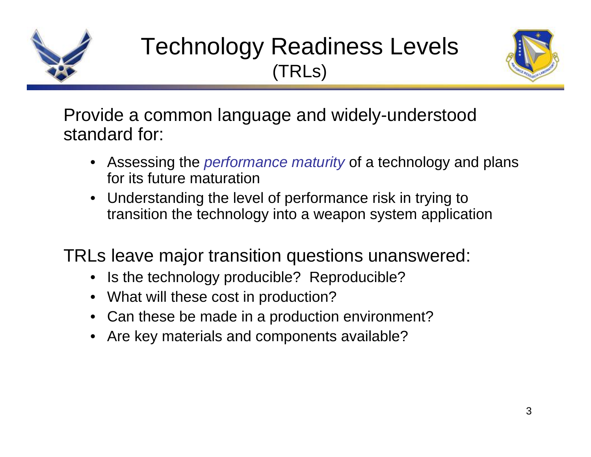

### Technology Readiness Levels (TRLs)



Provide a common language and widely-understood standard for:

- Assessing the *performance maturity* of a technology and plans for its future maturation
- Understanding the level of performance risk in trying to transition the technology into a weapon system application

TRLs leave major transition questions unanswered:

- Is the technology producible? Reproducible?
- What will these cost in production?
- Can these be made in a production environment?
- •Are key materials and components available?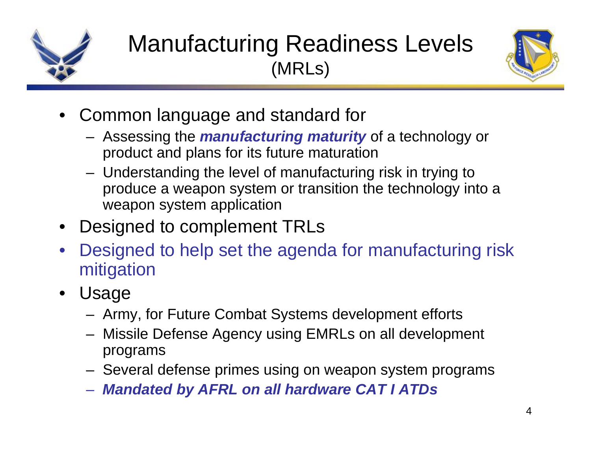

## Manufacturing Readiness Levels (MRLs)



- Common language and standard for
	- Assessing the *manufacturing maturity* of a technology or product and plans for its future maturation
	- – Understanding the level of manufacturing risk in trying to produce a weapon system or transition the technology into a weapon system application
- Designed to complement TRLs
- • Designed to help set the agenda for manufacturing risk mitigation
- Usage
	- Army, for Future Combat Systems development efforts
	- Missile Defense Agency using EMRLs on all development programs
	- Several defense primes using on weapon system programs
	- *Mandated by AFRL on all hardware CAT I ATDs*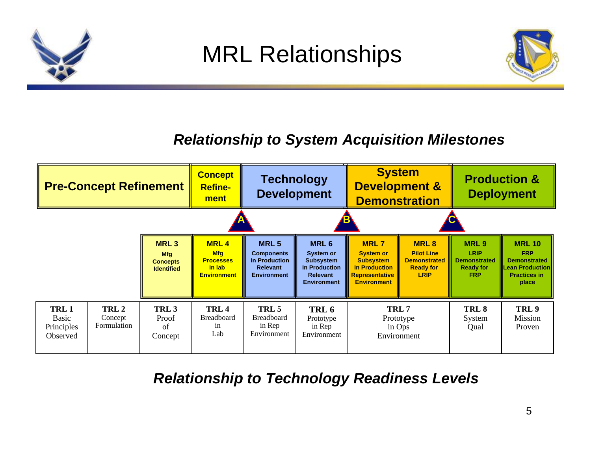

### *Relationship to System Acquisition Milestones*



#### *Relationship to Technology Readiness Levels*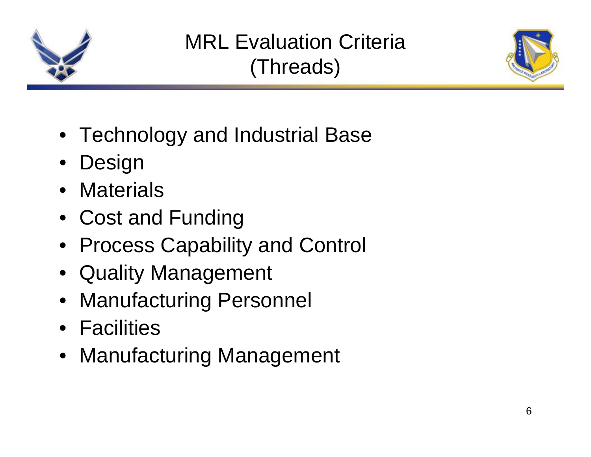

## MRL Evaluation Criteria(Threads)



- Technology and Industrial Base
- Design
- Materials
- Cost and Funding
- Process Capability and Control
- Quality Management
- Manufacturing Personnel
- Facilities
- Manufacturing Management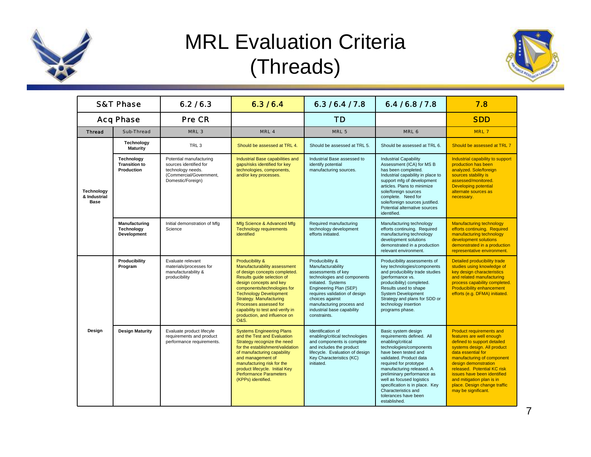

### MRL Evaluation Criteria (Threads)



| <b>S&amp;T Phase</b>                      |                                                  | 6.2/6.3                                                                                                                | 6.3/6.4                                                                                                                                                                                                                                                                                                                                               | 6.3/6.4/7.8                                                                                                                                                                                                                                                              | 6.416.817.8                                                                                                                                                                                                                                                                                                                                                            | 7.8                                                                                                                                                                                                                                                                                                                                                     |
|-------------------------------------------|--------------------------------------------------|------------------------------------------------------------------------------------------------------------------------|-------------------------------------------------------------------------------------------------------------------------------------------------------------------------------------------------------------------------------------------------------------------------------------------------------------------------------------------------------|--------------------------------------------------------------------------------------------------------------------------------------------------------------------------------------------------------------------------------------------------------------------------|------------------------------------------------------------------------------------------------------------------------------------------------------------------------------------------------------------------------------------------------------------------------------------------------------------------------------------------------------------------------|---------------------------------------------------------------------------------------------------------------------------------------------------------------------------------------------------------------------------------------------------------------------------------------------------------------------------------------------------------|
| <b>Acq Phase</b>                          |                                                  | <b>Pre CR</b>                                                                                                          |                                                                                                                                                                                                                                                                                                                                                       | <b>TD</b>                                                                                                                                                                                                                                                                |                                                                                                                                                                                                                                                                                                                                                                        | <b>SDD</b>                                                                                                                                                                                                                                                                                                                                              |
| <b>Thread</b>                             | Sub-Thread                                       | MRL <sub>3</sub>                                                                                                       | MRL <sub>4</sub>                                                                                                                                                                                                                                                                                                                                      | MRL <sub>5</sub>                                                                                                                                                                                                                                                         | MRL 6                                                                                                                                                                                                                                                                                                                                                                  | <b>MRL7</b>                                                                                                                                                                                                                                                                                                                                             |
| Technology<br>& Industrial<br><b>Base</b> | Technology<br><b>Maturity</b>                    | TRL <sub>3</sub>                                                                                                       | Should be assessed at TRL 4.                                                                                                                                                                                                                                                                                                                          | Should be assessed at TRL 5.                                                                                                                                                                                                                                             | Should be assessed at TRL 6.                                                                                                                                                                                                                                                                                                                                           | Should be assessed at TRL 7                                                                                                                                                                                                                                                                                                                             |
|                                           | Technology<br><b>Transition to</b><br>Production | Potential manufacturing<br>sources identified for<br>technology needs.<br>(Commercial/Government,<br>Domestic/Foreign) | Industrial Base capabilities and<br>gaps/risks identified for key<br>technologies, components,<br>and/or key processes.                                                                                                                                                                                                                               | Industrial Base assessed to<br>identify potential<br>manufacturing sources.                                                                                                                                                                                              | <b>Industrial Capability</b><br>Assessment (ICA) for MS B<br>has been completed.<br>Industrial capability in place to<br>support mfg of development<br>articles. Plans to minimize<br>sole/foreign sources<br>complete. Need for<br>sole/foreign sources justified.<br>Potential alternative sources<br>identified.                                                    | Industrial capability to support<br>production has been<br>analyzed. Sole/foreign<br>sources stability is<br>assessed/monitored.<br><b>Developing potential</b><br>alternate sources as<br>necessary.                                                                                                                                                   |
|                                           | Manufacturing<br>Technology<br>Development       | Initial demonstration of Mfg<br>Science                                                                                | Mfg Science & Advanced Mfg<br><b>Technology requirements</b><br>identified                                                                                                                                                                                                                                                                            | Required manufacturing<br>technology development<br>efforts initiated.                                                                                                                                                                                                   | Manufacturing technology<br>efforts continuing. Required<br>manufacturing technology<br>development solutions<br>demonstrated in a production<br>relevant environment.                                                                                                                                                                                                 | <b>Manufacturing technology</b><br>efforts continuing. Required<br>manufacturing technology<br>development solutions<br>demonstrated in a production<br>representative environment.                                                                                                                                                                     |
|                                           | Producibility<br>Program                         | Evaluate relevant<br>materials/processes for<br>manufacturability &<br>producibility                                   | Producibility &<br>Manufacturability assessment<br>of design concepts completed.<br>Results quide selection of<br>design concepts and key<br>components/technologies for<br><b>Technology Development</b><br>Strategy. Manufacturing<br>Processes assessed for<br>capability to test and verify in<br>production, and influence on<br><b>O&amp;S.</b> | Producibility &<br>Manufacturability<br>assessments of key<br>technologies and components<br>initiated. Systems<br>Engineering Plan (SEP)<br>requires validation of design<br>choices against<br>manufacturing process and<br>industrial base capability<br>constraints. | Producibility assessments of<br>key technologies/components<br>and producibility trade studies<br>(performance vs.<br>producibility) completed.<br>Results used to shape<br>System Development<br>Strategy and plans for SDD or<br>technology insertion<br>programs phase.                                                                                             | Detailed producibility trade<br>studies using knowledge of<br>key design characteristics<br>and related manufacturing<br>process capability completed.<br><b>Producibility enhancement</b><br>efforts (e.g. DFMA) initiated.                                                                                                                            |
| Design                                    | <b>Design Maturity</b>                           | Evaluate product lifecyle<br>requirements and product<br>performance requirements.                                     | <b>Systems Engineering Plans</b><br>and the Test and Evaluation<br>Strategy recognize the need<br>for the establishment/validation<br>of manufacturing capability<br>and management of<br>manufacturing risk for the<br>product lifecycle. Initial Key<br><b>Performance Parameters</b><br>(KPPs) identified.                                         | Identification of<br>enabling/critical technologies<br>and components is complete<br>and includes the product<br>lifecycle. Evaluation of design<br>Key Characteristics (KC)<br>initiated.                                                                               | Basic system design<br>requirements defined. All<br>enabling/critical<br>technologies/components<br>have been tested and<br>validated. Product data<br>required for prototype<br>manufacturing released. A<br>preliminary performance as<br>well as focused logistics<br>specification is in place. Key<br>Characteristics and<br>tolerances have been<br>established. | <b>Product requirements and</b><br>features are well enough<br>defined to support detailed<br>systems design. All product<br>data essential for<br>manufacturing of component<br>design demonstration<br>released. Potential KC risk<br>issues have been identified<br>and mitigation plan is in<br>place. Design change traffic<br>may be significant. |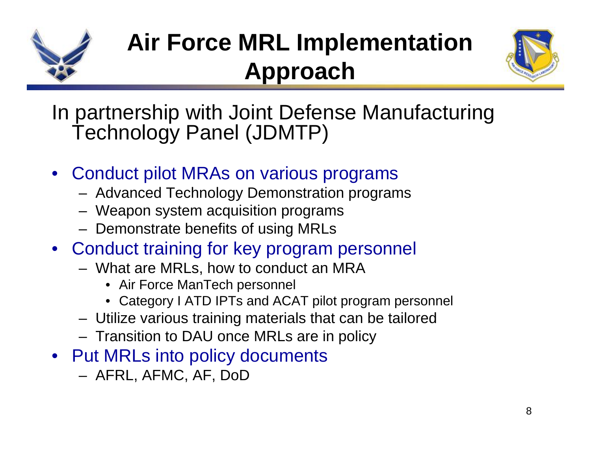

# **Air Force MRL Implementation Approach**



In partnership with Joint Defense Manufacturing Technology Panel (JDMTP)

- • Conduct pilot MRAs on various programs
	- Advanced Technology Demonstration programs
	- Weapon system acquisition programs
	- Demonstrate benefits of using MRLs
- Conduct training for key program personnel
	- What are MRLs, how to conduct an MRA
		- Air Force ManTech personnel
		- Category I ATD IPTs and ACAT pilot program personnel
	- Utilize various training materials that can be tailored
	- –Transition to DAU once MRLs are in policy
- Put MRLs into policy documents
	- AFRL, AFMC, AF, DoD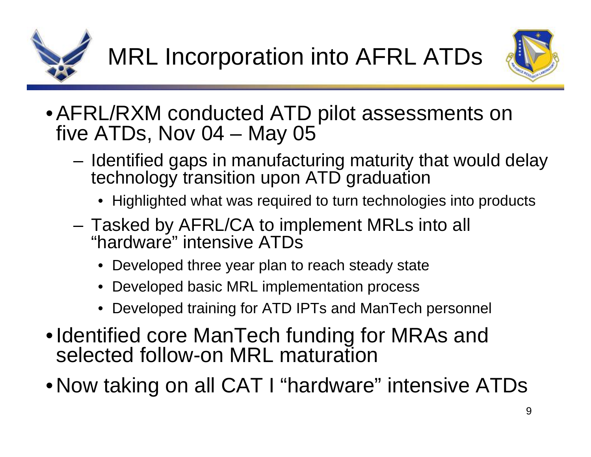



- AFRL/RXM conducted ATD pilot assessments on five ATDs, Nov 04 – May 05
	- Identified gaps in manufacturing maturity that would delay technology transition upon ATD graduation
		- Highlighted what was required to turn technologies into products
	- Tasked by AFRL/CA to implement MRLs into all "hardware" intensive ATDs
		- Developed three year plan to reach steady state
		- •Developed basic MRL implementation process
		- Developed training for ATD IPTs and ManTech personnel
- Identified core ManTech funding for MRAs and selected follow-on MRL maturation
- Now taking on all CAT I "hardware" intensive ATDs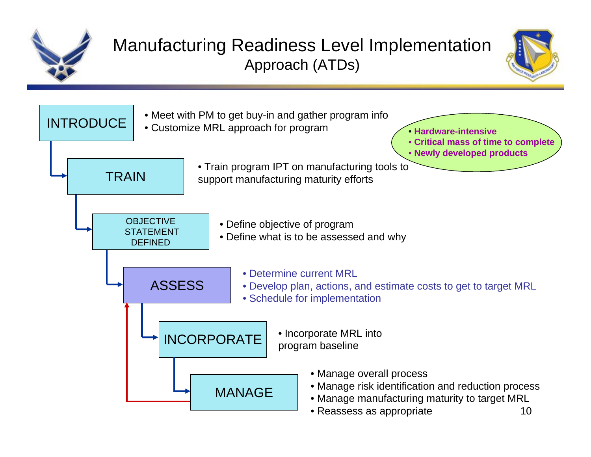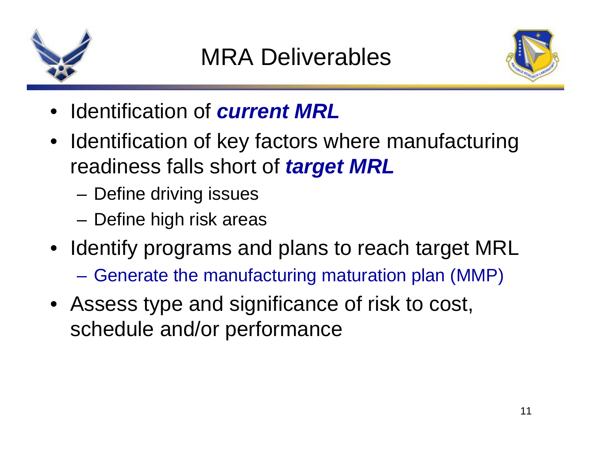



- Identification of *current MRL*
- Identification of key factors where manufacturing readiness falls short of *target MRL*
	- –Define driving issues
	- –Define high risk areas
- Identify programs and plans to reach target MRL
	- **Hart Committee** Generate the manufacturing maturation plan (MMP)
- Assess type and significance of risk to cost, schedule and/or performance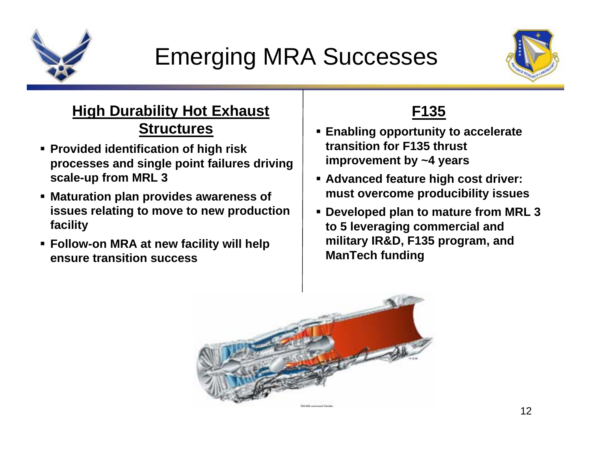

# Emerging MRA Successes



#### **High Durability Hot Exhaust Structures**

- **Provided identification of high risk processes and single point failures driving scale-up from MRL 3**
- **Maturation plan provides awareness of issues relating to move to new production facility**
- **Follow-on MRA at new facility will help ensure transition success**

### **F135**

- **Enabling opportunity to accelerate transition for F135 thrust improvement by ~4 years**
- **Advanced feature high cost driver: must overcome producibility issues**
- **Developed plan to mature from MRL 3 to 5 leveraging commercial and military IR&D, F135 program, and ManTech funding**

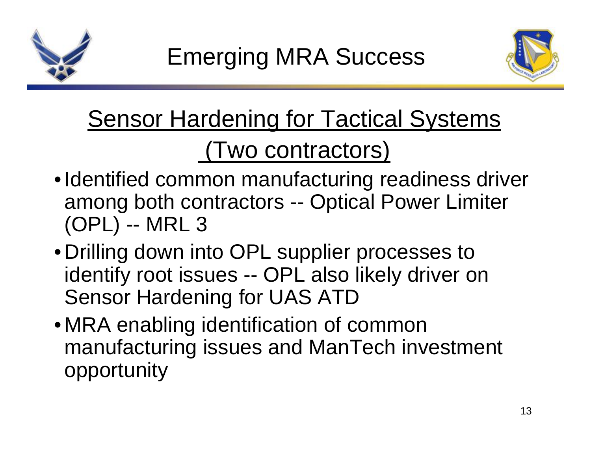



# Sensor Hardening for Tactical Systems (Two contractors)

- Identified common manufacturing readiness driver among both contractors -- Optical Power Limiter (OPL) -- MRL 3
- Drilling down into OPL supplier processes to identify root issues -- OPL also likely driver on Sensor Hardening for UAS ATD
- MRA enabling identification of common manufacturing issues and ManTech investment opportunity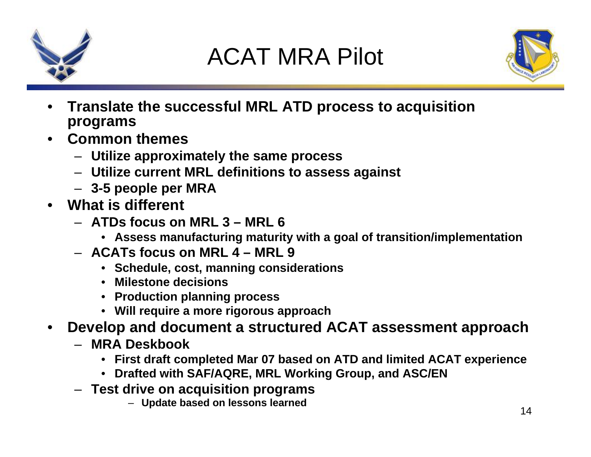

# ACAT MRA Pilot



- • **Translate the successful MRL ATD process to acquisition programs**
- **Common themes** 
	- **Utilize approximately the same process**
	- **Utilize current MRL definitions to assess against**
	- **3-5 people per MRA**
- **What is different**
	- **ATDs focus on MRL 3 – MRL 6**
		- **Assess manufacturing maturity with a goal of transition/implementation**
	- **ACATs focus on MRL 4 – MRL 9**
		- **Schedule, cost, manning considerations**
		- **Milestone decisions**
		- **Production planning process**
		- **Will require a more rigorous approach**
- • **Develop and document a structured ACAT assessment approach**
	- **MRA Deskbook**
		- **First draft completed Mar 07 based on ATD and limited ACAT experience**
		- **Drafted with SAF/AQRE, MRL Working Group, and ASC/EN**
	- **Test drive on acquisition programs** 
		- **Update based on lessons learned**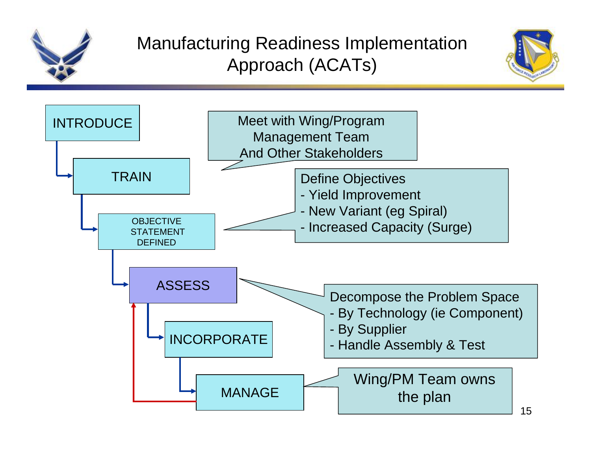

### Manufacturing Readiness Implementation Approach (ACATs)



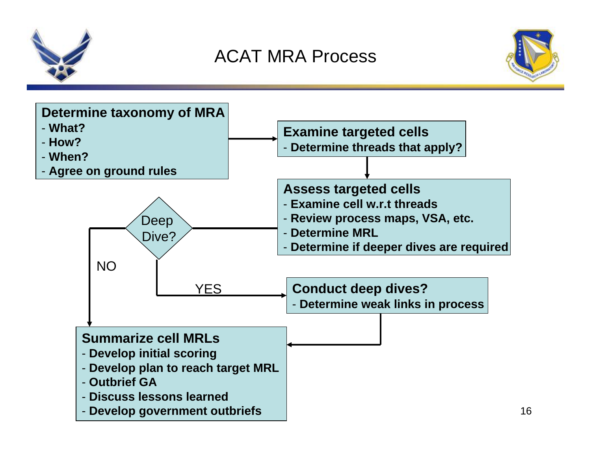



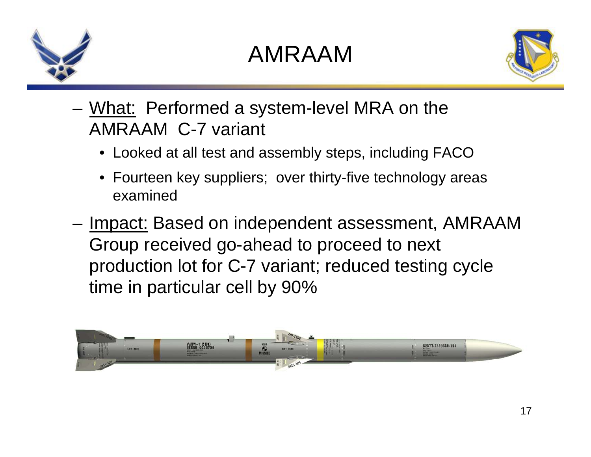

### AMRAAM



- **Links of the Common** What: Performed a system-level MRA on the AMRAAM C-7 variant
	- Looked at all test and assembly steps, including FACO
	- Fourteen key suppliers; over thirty-five technology areas examined
- and the state of the Impact: Based on independent assessment, AMRAAM Group received go-ahead to proceed to next production lot for C-7 variant; reduced testing cycle time in particular cell by 90%

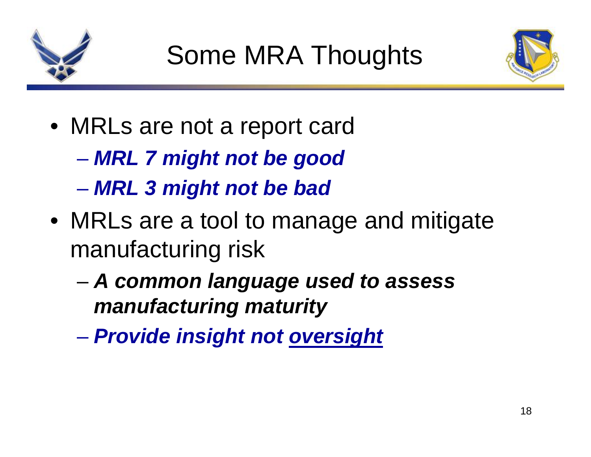



- MRLs are not a report card
	- $\mathcal{L}_{\mathcal{A}}$  , and the set of the set of the set of the set of the set of the set of the set of the set of the set of the set of the set of the set of the set of the set of the set of the set of the set of the set of th *MRL 7 might not be good*
	- –*MRL 3 might not be bad*
- MRLs are a tool to manage and mitigate manufacturing risk
	- – *A common language used to assess manufacturing maturity*
	- –*Provide insight not oversight*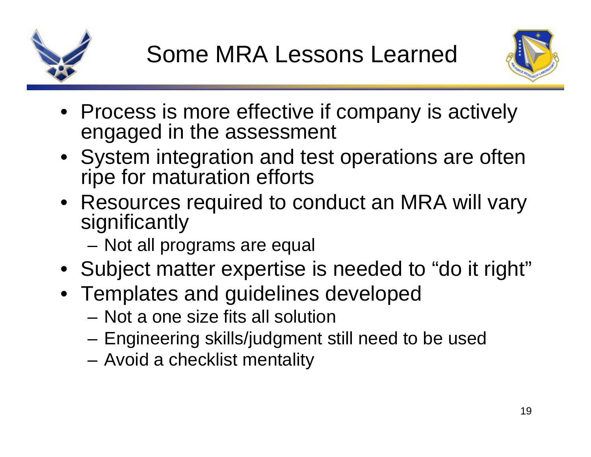



- Process is more effective if company is actively engaged in the assessment
- System integration and test operations are often ripe for maturation efforts
- Resources required to conduct an MRA will vary significantly
	- Not all programs are equal
- Subject matter expertise is needed to "do it right"
- Templates and guidelines developed
	- Not a one size fits all solution
	- Engineering skills/judgment still need to be used
	- Avoid a checklist mentality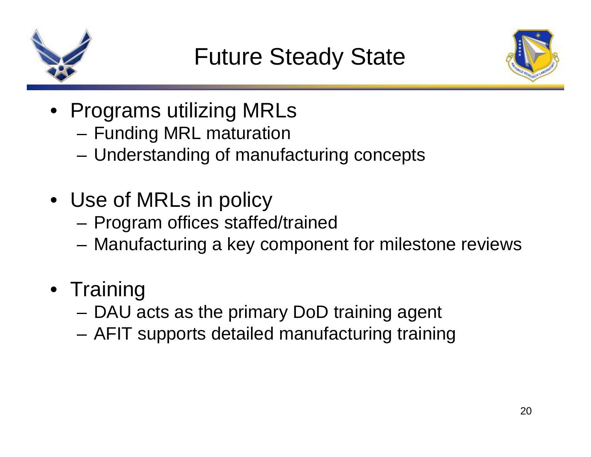



- Programs utilizing MRLs
	- –Funding MRL maturation
	- and the state of the Understanding of manufacturing concepts
- Use of MRLs in policy
	- and the state of the Program offices staffed/trained
	- **Links of the Common** Manufacturing a key component for milestone reviews
- Training
	- **Links of the Common** DAU acts as the primary DoD training agent
	- –AFIT supports detailed manufacturing training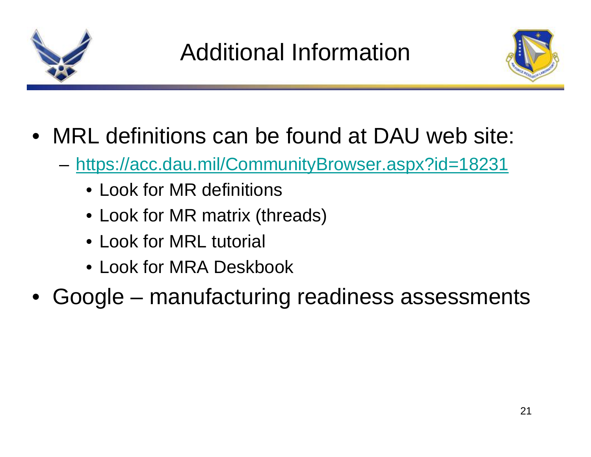



- MRL definitions can be found at DAU web site:
	- **Links of the Common**  <https://acc.dau.mil/CommunityBrowser.aspx?id=18231>
		- Look for MR definitions
		- Look for MR matrix (threads)
		- Look for MRL tutorial
		- Look for MRA Deskbook
- •Google – manufacturing readiness assessments